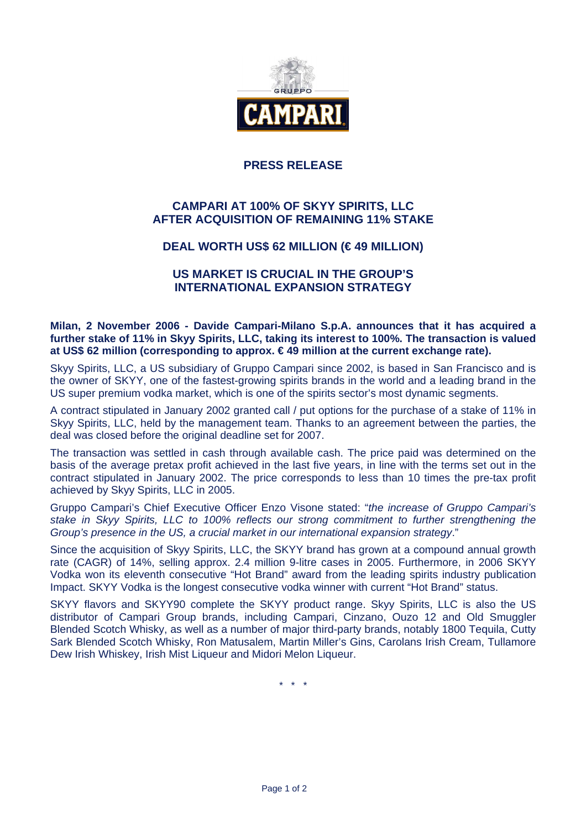

## **PRESS RELEASE**

# **CAMPARI AT 100% OF SKYY SPIRITS, LLC AFTER ACQUISITION OF REMAINING 11% STAKE**

### **DEAL WORTH US\$ 62 MILLION (€ 49 MILLION)**

### **US MARKET IS CRUCIAL IN THE GROUP'S INTERNATIONAL EXPANSION STRATEGY**

**Milan, 2 November 2006 - Davide Campari-Milano S.p.A. announces that it has acquired a further stake of 11% in Skyy Spirits, LLC, taking its interest to 100%. The transaction is valued at US\$ 62 million (corresponding to approx. € 49 million at the current exchange rate).** 

Skyy Spirits, LLC, a US subsidiary of Gruppo Campari since 2002, is based in San Francisco and is the owner of SKYY, one of the fastest-growing spirits brands in the world and a leading brand in the US super premium vodka market, which is one of the spirits sector's most dynamic segments.

A contract stipulated in January 2002 granted call / put options for the purchase of a stake of 11% in Skyy Spirits, LLC, held by the management team. Thanks to an agreement between the parties, the deal was closed before the original deadline set for 2007.

The transaction was settled in cash through available cash. The price paid was determined on the basis of the average pretax profit achieved in the last five years, in line with the terms set out in the contract stipulated in January 2002. The price corresponds to less than 10 times the pre-tax profit achieved by Skyy Spirits, LLC in 2005.

Gruppo Campari's Chief Executive Officer Enzo Visone stated: "the increase of Gruppo Campari's stake in Skyy Spirits, LLC to 100% reflects our strong commitment to further strengthening the Group's presence in the US, a crucial market in our international expansion strategy."

Since the acquisition of Skyy Spirits, LLC, the SKYY brand has grown at a compound annual growth rate (CAGR) of 14%, selling approx. 2.4 million 9-litre cases in 2005. Furthermore, in 2006 SKYY Vodka won its eleventh consecutive "Hot Brand" award from the leading spirits industry publication Impact. SKYY Vodka is the longest consecutive vodka winner with current "Hot Brand" status.

SKYY flavors and SKYY90 complete the SKYY product range. Skyy Spirits, LLC is also the US distributor of Campari Group brands, including Campari, Cinzano, Ouzo 12 and Old Smuggler Blended Scotch Whisky, as well as a number of major third-party brands, notably 1800 Tequila, Cutty Sark Blended Scotch Whisky, Ron Matusalem, Martin Miller's Gins, Carolans Irish Cream, Tullamore Dew Irish Whiskey, Irish Mist Liqueur and Midori Melon Liqueur.

\* \* \*